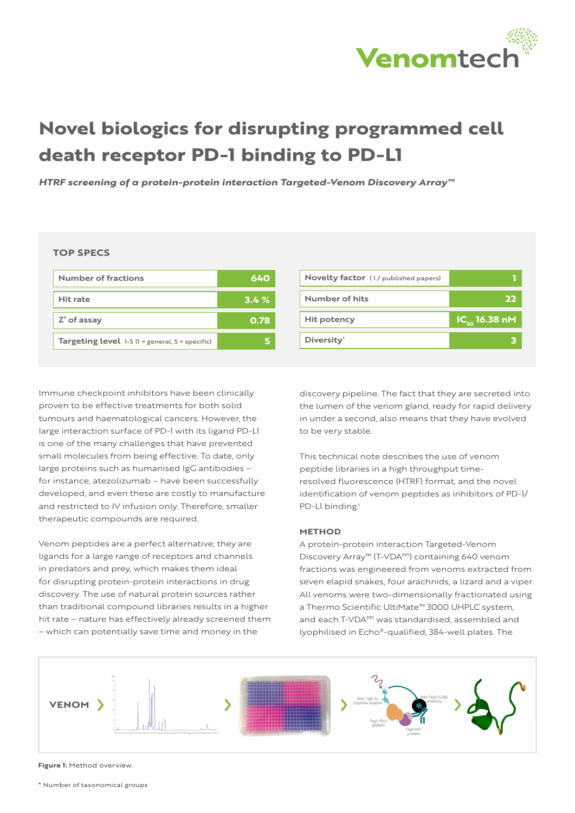

# **Novel biologics for disrupting programmed cell death receptor PD-1 binding to PD-L1**

*HTRF screening of a protein-protein interaction Targeted-Venom Discovery Array™*

**TOP SPECS**

| Number of fractions                                           | 640  |
|---------------------------------------------------------------|------|
| Hit rate                                                      | 3.4% |
| Z' of assay                                                   | 0.78 |
| <b>Targeting level</b> $1-5$ ( $1 =$ general, $5 =$ specific) |      |

| Novelty factor (1/ published papers) |                                                 |
|--------------------------------------|-------------------------------------------------|
| Number of hits                       | 22                                              |
| Hit potency                          | $\overline{\textsf{IC}_{\textsf{so}}}$ 16.38 nM |
| Diversity <sup>*</sup>               |                                                 |
|                                      |                                                 |

Immune checkpoint inhibitors have been clinically proven to be effective treatments for both solid tumours and haematological cancers. However, the large interaction surface of PD-1 with its ligand PD-L1 is one of the many challenges that have prevented small molecules from being effective. To date, only large proteins such as humanised IgG antibodies – for instance, atezolizumab – have been successfully developed, and even these are costly to manufacture and restricted to IV infusion only. Therefore, smaller therapeutic compounds are required.

Venom peptides are a perfect alternative; they are ligands for a large range of receptors and channels in predators and prey, which makes them ideal for disrupting protein-protein interactions in drug discovery. The use of natural protein sources rather than traditional compound libraries results in a higher hit rate – nature has effectively already screened them – which can potentially save time and money in the

discovery pipeline. The fact that they are secreted into the lumen of the venom gland, ready for rapid delivery in under a second, also means that they have evolved to be very stable.

This technical note describes the use of venom peptide libraries in a high throughput timeresolved fluorescence (HTRF) format, and the novel identification of venom peptides as inhibitors of PD-1/ PD-L1 binding.<sup>1</sup>

#### **METHOD**

A protein-protein interaction Targeted-Venom Discovery Array™ (T-VDAPPI) containing 640 venom fractions was engineered from venoms extracted from seven elapid snakes, four arachnids, a lizard and a viper. All venoms were two-dimensionally fractionated using a Thermo Scientific UltiMate™ 3000 UHPLC system, and each T-VDA<sup>PPI</sup> was standardised, assembled and lyophilised in Echo®-qualified, 384-well plates. The



**Figure 1:** Method overview.